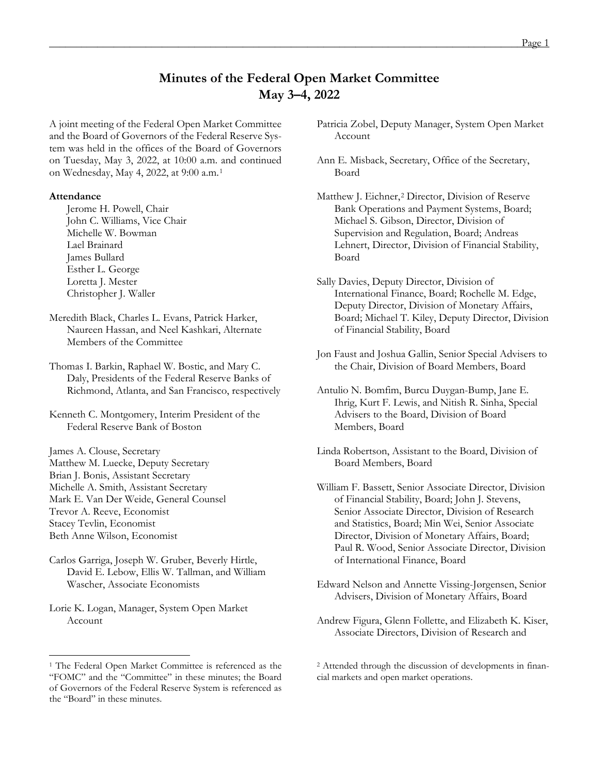# **Minutes of the Federal Open Market Committee May 3–4, 2022**

A joint meeting of the Federal Open Market Committee and the Board of Governors of the Federal Reserve System was held in the offices of the Board of Governors on Tuesday, May 3, 2022, at 10:00 a.m. and continued on Wednesday, May 4, 2022, at 9:00 a.m.[1](#page-0-0)

#### **Attendance**

Jerome H. Powell, Chair John C. Williams, Vice Chair Michelle W. Bowman Lael Brainard James Bullard Esther L. George Loretta J. Mester Christopher J. Waller

Meredith Black, Charles L. Evans, Patrick Harker, Naureen Hassan, and Neel Kashkari, Alternate Members of the Committee

Thomas I. Barkin, Raphael W. Bostic, and Mary C. Daly, Presidents of the Federal Reserve Banks of Richmond, Atlanta, and San Francisco, respectively

Kenneth C. Montgomery, Interim President of the Federal Reserve Bank of Boston

James A. Clouse, Secretary Matthew M. Luecke, Deputy Secretary Brian J. Bonis, Assistant Secretary Michelle A. Smith, Assistant Secretary Mark E. Van Der Weide, General Counsel Trevor A. Reeve, Economist Stacey Tevlin, Economist Beth Anne Wilson, Economist

- Carlos Garriga, Joseph W. Gruber, Beverly Hirtle, David E. Lebow, Ellis W. Tallman, and William Wascher, Associate Economists
- Lorie K. Logan, Manager, System Open Market Account

Patricia Zobel, Deputy Manager, System Open Market Account

Ann E. Misback, Secretary, Office of the Secretary, Board

Matthew J. Eichner,<sup>[2](#page-0-0)</sup> Director, Division of Reserve Bank Operations and Payment Systems, Board; Michael S. Gibson, Director, Division of Supervision and Regulation, Board; Andreas Lehnert, Director, Division of Financial Stability, Board

Sally Davies, Deputy Director, Division of International Finance, Board; Rochelle M. Edge, Deputy Director, Division of Monetary Affairs, Board; Michael T. Kiley, Deputy Director, Division of Financial Stability, Board

Jon Faust and Joshua Gallin, Senior Special Advisers to the Chair, Division of Board Members, Board

Antulio N. Bomfim, Burcu Duygan-Bump, Jane E. Ihrig, Kurt F. Lewis, and Nitish R. Sinha, Special Advisers to the Board, Division of Board Members, Board

Linda Robertson, Assistant to the Board, Division of Board Members, Board

William F. Bassett, Senior Associate Director, Division of Financial Stability, Board; John J. Stevens, Senior Associate Director, Division of Research and Statistics, Board; Min Wei, Senior Associate Director, Division of Monetary Affairs, Board; Paul R. Wood, Senior Associate Director, Division of International Finance, Board

- Edward Nelson and Annette Vissing-Jørgensen, Senior Advisers, Division of Monetary Affairs, Board
- Andrew Figura, Glenn Follette, and Elizabeth K. Kiser, Associate Directors, Division of Research and

<span id="page-0-0"></span><sup>&</sup>lt;sup>1</sup> The Federal Open Market Committee is referenced as the "FOMC" and the "Committee" in these minutes; the Board of Governors of the Federal Reserve System is referenced as the "Board" in these minutes.

<sup>2</sup> Attended through the discussion of developments in financial markets and open market operations.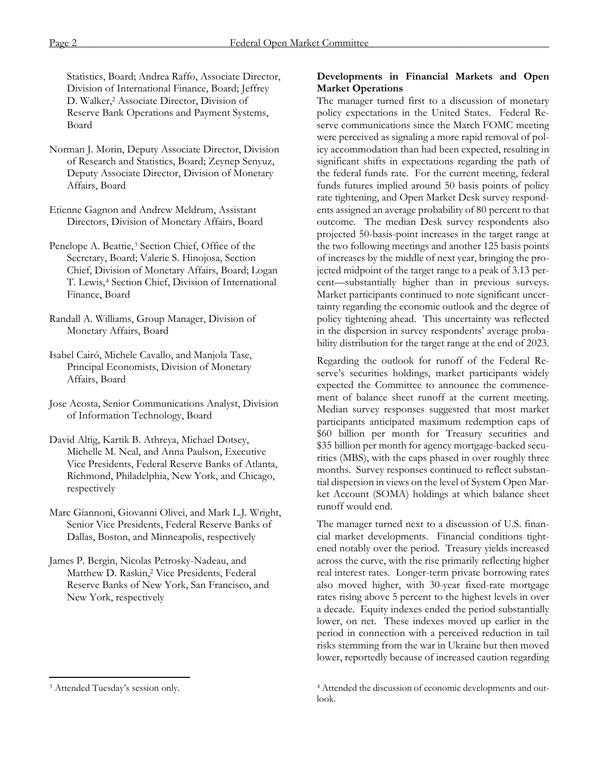Statistics, Board; Andrea Raffo, Associate Director, Division of International Finance, Board; Jeffrey D. Walker,2 Associate Director, Division of Reserve Bank Operations and Payment Systems, Board

- Norman J. Morin, Deputy Associate Director, Division of Research and Statistics, Board; Zeynep Senyuz, Deputy Associate Director, Division of Monetary Affairs, Board
- Etienne Gagnon and Andrew Meldrum, Assistant Directors, Division of Monetary Affairs, Board
- Penelope A. Beattie,<sup>[3](#page-1-0)</sup> Section Chief, Office of the Secretary, Board; Valerie S. Hinojosa, Section Chief, Division of Monetary Affairs, Board; Logan T. Lewis,[4](#page-1-0) Section Chief, Division of International Finance, Board
- Randall A. Williams, Group Manager, Division of Monetary Affairs, Board
- Isabel Cairó, Michele Cavallo, and Manjola Tase, Principal Economists, Division of Monetary Affairs, Board
- Jose Acosta, Senior Communications Analyst, Division of Information Technology, Board
- David Altig, Kartik B. Athreya, Michael Dotsey, Michelle M. Neal, and Anna Paulson, Executive Vice Presidents, Federal Reserve Banks of Atlanta, Richmond, Philadelphia, New York, and Chicago, respectively
- Marc Giannoni, Giovanni Olivei, and Mark L.J. Wright, Senior Vice Presidents, Federal Reserve Banks of Dallas, Boston, and Minneapolis, respectively
- James P. Bergin, Nicolas Petrosky-Nadeau, and Matthew D. Raskin, <sup>2</sup> Vice Presidents, Federal Reserve Banks of New York, San Francisco, and New York, respectively

## **Developments in Financial Markets and Open Market Operations**

The manager turned first to a discussion of monetary policy expectations in the United States. Federal Reserve communications since the March FOMC meeting were perceived as signaling a more rapid removal of policy accommodation than had been expected, resulting in significant shifts in expectations regarding the path of the federal funds rate. For the current meeting, federal funds futures implied around 50 basis points of policy rate tightening, and Open Market Desk survey respondents assigned an average probability of 80 percent to that outcome. The median Desk survey respondents also projected 50-basis-point increases in the target range at the two following meetings and another 125 basis points of increases by the middle of next year, bringing the projected midpoint of the target range to a peak of 3.13 percent—substantially higher than in previous surveys. Market participants continued to note significant uncertainty regarding the economic outlook and the degree of policy tightening ahead. This uncertainty was reflected in the dispersion in survey respondents' average probability distribution for the target range at the end of 2023.

Regarding the outlook for runoff of the Federal Reserve's securities holdings, market participants widely expected the Committee to announce the commencement of balance sheet runoff at the current meeting. Median survey responses suggested that most market participants anticipated maximum redemption caps of \$60 billion per month for Treasury securities and \$35 billion per month for agency mortgage-backed securities (MBS), with the caps phased in over roughly three months. Survey responses continued to reflect substantial dispersion in views on the level of System Open Market Account (SOMA) holdings at which balance sheet runoff would end.

The manager turned next to a discussion of U.S. financial market developments. Financial conditions tightened notably over the period. Treasury yields increased across the curve, with the rise primarily reflecting higher real interest rates. Longer-term private borrowing rates also moved higher, with 30-year fixed-rate mortgage rates rising above 5 percent to the highest levels in over a decade. Equity indexes ended the period substantially lower, on net. These indexes moved up earlier in the period in connection with a perceived reduction in tail risks stemming from the war in Ukraine but then moved lower, reportedly because of increased caution regarding

<span id="page-1-0"></span><sup>3</sup> Attended Tuesday's session only.

<sup>4</sup> Attended the discussion of economic developments and outlook.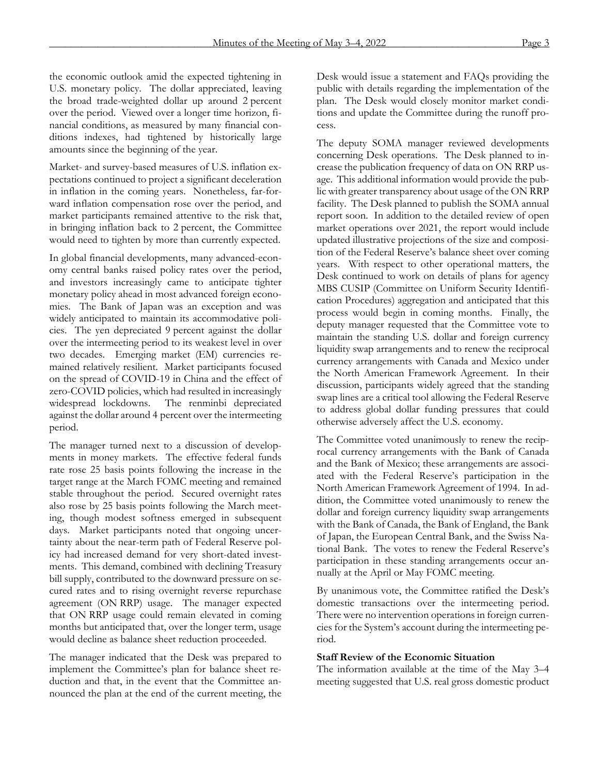the economic outlook amid the expected tightening in U.S. monetary policy. The dollar appreciated, leaving the broad trade-weighted dollar up around 2 percent over the period. Viewed over a longer time horizon, financial conditions, as measured by many financial conditions indexes, had tightened by historically large amounts since the beginning of the year.

Market- and survey-based measures of U.S. inflation expectations continued to project a significant deceleration in inflation in the coming years. Nonetheless, far-forward inflation compensation rose over the period, and market participants remained attentive to the risk that, in bringing inflation back to 2 percent, the Committee would need to tighten by more than currently expected.

In global financial developments, many advanced-economy central banks raised policy rates over the period, and investors increasingly came to anticipate tighter monetary policy ahead in most advanced foreign economies. The Bank of Japan was an exception and was widely anticipated to maintain its accommodative policies. The yen depreciated 9 percent against the dollar over the intermeeting period to its weakest level in over two decades. Emerging market (EM) currencies remained relatively resilient. Market participants focused on the spread of COVID-19 in China and the effect of zero-COVID policies, which had resulted in increasingly widespread lockdowns. The renminbi depreciated against the dollar around 4 percent over the intermeeting period.

The manager turned next to a discussion of developments in money markets. The effective federal funds rate rose 25 basis points following the increase in the target range at the March FOMC meeting and remained stable throughout the period. Secured overnight rates also rose by 25 basis points following the March meeting, though modest softness emerged in subsequent days. Market participants noted that ongoing uncertainty about the near-term path of Federal Reserve policy had increased demand for very short-dated investments. This demand, combined with declining Treasury bill supply, contributed to the downward pressure on secured rates and to rising overnight reverse repurchase agreement (ON RRP) usage. The manager expected that ON RRP usage could remain elevated in coming months but anticipated that, over the longer term, usage would decline as balance sheet reduction proceeded.

The manager indicated that the Desk was prepared to implement the Committee's plan for balance sheet reduction and that, in the event that the Committee announced the plan at the end of the current meeting, the

Desk would issue a statement and FAQs providing the public with details regarding the implementation of the plan. The Desk would closely monitor market conditions and update the Committee during the runoff process.

The deputy SOMA manager reviewed developments concerning Desk operations. The Desk planned to increase the publication frequency of data on ON RRP usage. This additional information would provide the public with greater transparency about usage of the ON RRP facility. The Desk planned to publish the SOMA annual report soon. In addition to the detailed review of open market operations over 2021, the report would include updated illustrative projections of the size and composition of the Federal Reserve's balance sheet over coming years. With respect to other operational matters, the Desk continued to work on details of plans for agency MBS CUSIP (Committee on Uniform Security Identification Procedures) aggregation and anticipated that this process would begin in coming months. Finally, the deputy manager requested that the Committee vote to maintain the standing U.S. dollar and foreign currency liquidity swap arrangements and to renew the reciprocal currency arrangements with Canada and Mexico under the North American Framework Agreement. In their discussion, participants widely agreed that the standing swap lines are a critical tool allowing the Federal Reserve to address global dollar funding pressures that could otherwise adversely affect the U.S. economy.

The Committee voted unanimously to renew the reciprocal currency arrangements with the Bank of Canada and the Bank of Mexico; these arrangements are associated with the Federal Reserve's participation in the North American Framework Agreement of 1994. In addition, the Committee voted unanimously to renew the dollar and foreign currency liquidity swap arrangements with the Bank of Canada, the Bank of England, the Bank of Japan, the European Central Bank, and the Swiss National Bank. The votes to renew the Federal Reserve's participation in these standing arrangements occur annually at the April or May FOMC meeting.

By unanimous vote, the Committee ratified the Desk's domestic transactions over the intermeeting period. There were no intervention operations in foreign currencies for the System's account during the intermeeting period.

#### **Staff Review of the Economic Situation**

The information available at the time of the May 3–4 meeting suggested that U.S. real gross domestic product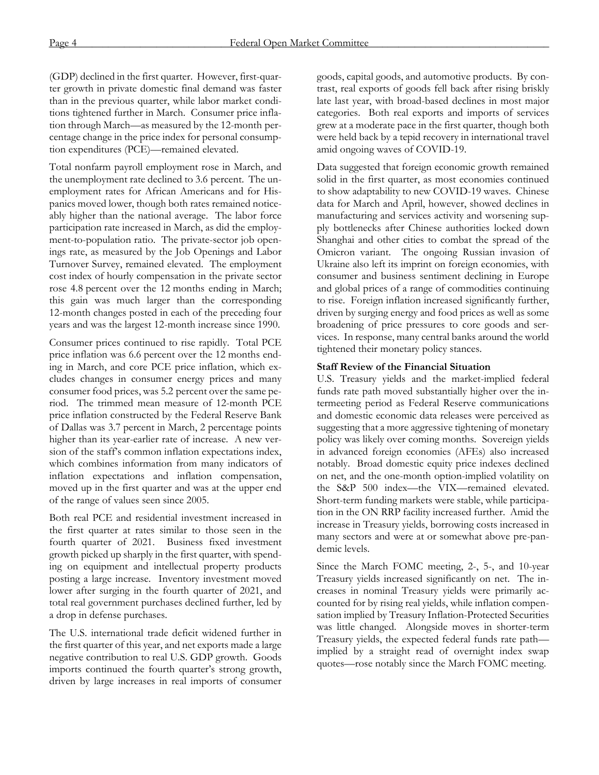(GDP) declined in the first quarter. However, first-quarter growth in private domestic final demand was faster than in the previous quarter, while labor market conditions tightened further in March. Consumer price inflation through March—as measured by the 12-month percentage change in the price index for personal consumption expenditures (PCE)—remained elevated.

Total nonfarm payroll employment rose in March, and the unemployment rate declined to 3.6 percent. The unemployment rates for African Americans and for Hispanics moved lower, though both rates remained noticeably higher than the national average. The labor force participation rate increased in March, as did the employment-to-population ratio. The private-sector job openings rate, as measured by the Job Openings and Labor Turnover Survey, remained elevated. The employment cost index of hourly compensation in the private sector rose 4.8 percent over the 12 months ending in March; this gain was much larger than the corresponding 12-month changes posted in each of the preceding four years and was the largest 12-month increase since 1990.

Consumer prices continued to rise rapidly. Total PCE price inflation was 6.6 percent over the 12 months ending in March, and core PCE price inflation, which excludes changes in consumer energy prices and many consumer food prices, was 5.2 percent over the same period. The trimmed mean measure of 12-month PCE price inflation constructed by the Federal Reserve Bank of Dallas was 3.7 percent in March, 2 percentage points higher than its year-earlier rate of increase. A new version of the staff's common inflation expectations index, which combines information from many indicators of inflation expectations and inflation compensation, moved up in the first quarter and was at the upper end of the range of values seen since 2005.

Both real PCE and residential investment increased in the first quarter at rates similar to those seen in the fourth quarter of 2021. Business fixed investment growth picked up sharply in the first quarter, with spending on equipment and intellectual property products posting a large increase. Inventory investment moved lower after surging in the fourth quarter of 2021, and total real government purchases declined further, led by a drop in defense purchases.

The U.S. international trade deficit widened further in the first quarter of this year, and net exports made a large negative contribution to real U.S. GDP growth. Goods imports continued the fourth quarter's strong growth, driven by large increases in real imports of consumer

goods, capital goods, and automotive products. By contrast, real exports of goods fell back after rising briskly late last year, with broad-based declines in most major categories. Both real exports and imports of services grew at a moderate pace in the first quarter, though both were held back by a tepid recovery in international travel amid ongoing waves of COVID-19.

Data suggested that foreign economic growth remained solid in the first quarter, as most economies continued to show adaptability to new COVID-19 waves. Chinese data for March and April, however, showed declines in manufacturing and services activity and worsening supply bottlenecks after Chinese authorities locked down Shanghai and other cities to combat the spread of the Omicron variant. The ongoing Russian invasion of Ukraine also left its imprint on foreign economies, with consumer and business sentiment declining in Europe and global prices of a range of commodities continuing to rise. Foreign inflation increased significantly further, driven by surging energy and food prices as well as some broadening of price pressures to core goods and services. In response, many central banks around the world tightened their monetary policy stances.

## **Staff Review of the Financial Situation**

U.S. Treasury yields and the market-implied federal funds rate path moved substantially higher over the intermeeting period as Federal Reserve communications and domestic economic data releases were perceived as suggesting that a more aggressive tightening of monetary policy was likely over coming months. Sovereign yields in advanced foreign economies (AFEs) also increased notably. Broad domestic equity price indexes declined on net, and the one-month option-implied volatility on the S&P 500 index—the VIX—remained elevated. Short-term funding markets were stable, while participation in the ON RRP facility increased further. Amid the increase in Treasury yields, borrowing costs increased in many sectors and were at or somewhat above pre-pandemic levels.

Since the March FOMC meeting, 2-, 5-, and 10-year Treasury yields increased significantly on net. The increases in nominal Treasury yields were primarily accounted for by rising real yields, while inflation compensation implied by Treasury Inflation-Protected Securities was little changed. Alongside moves in shorter-term Treasury yields, the expected federal funds rate path implied by a straight read of overnight index swap quotes—rose notably since the March FOMC meeting.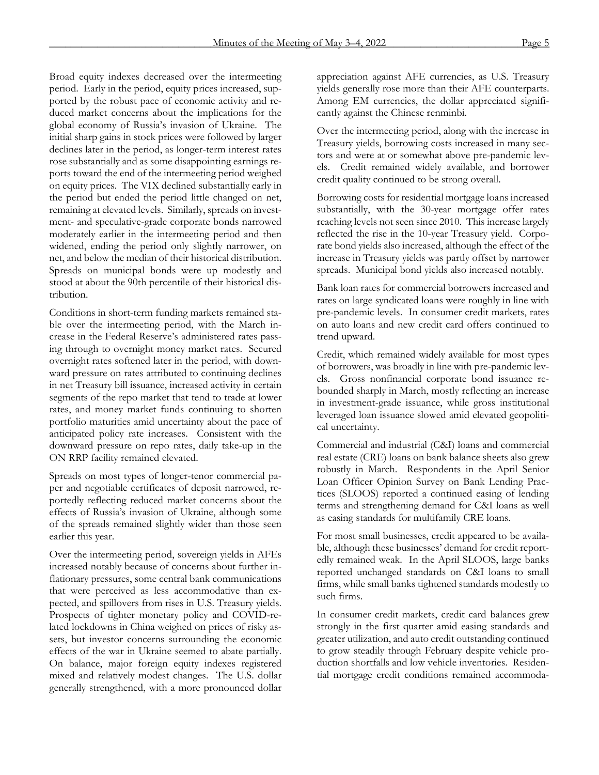Broad equity indexes decreased over the intermeeting period. Early in the period, equity prices increased, supported by the robust pace of economic activity and reduced market concerns about the implications for the global economy of Russia's invasion of Ukraine. The initial sharp gains in stock prices were followed by larger declines later in the period, as longer-term interest rates rose substantially and as some disappointing earnings reports toward the end of the intermeeting period weighed on equity prices. The VIX declined substantially early in the period but ended the period little changed on net, remaining at elevated levels. Similarly, spreads on investment- and speculative-grade corporate bonds narrowed moderately earlier in the intermeeting period and then widened, ending the period only slightly narrower, on net, and below the median of their historical distribution. Spreads on municipal bonds were up modestly and stood at about the 90th percentile of their historical distribution.

Conditions in short-term funding markets remained stable over the intermeeting period, with the March increase in the Federal Reserve's administered rates passing through to overnight money market rates. Secured overnight rates softened later in the period, with downward pressure on rates attributed to continuing declines in net Treasury bill issuance, increased activity in certain segments of the repo market that tend to trade at lower rates, and money market funds continuing to shorten portfolio maturities amid uncertainty about the pace of anticipated policy rate increases. Consistent with the downward pressure on repo rates, daily take-up in the ON RRP facility remained elevated.

Spreads on most types of longer-tenor commercial paper and negotiable certificates of deposit narrowed, reportedly reflecting reduced market concerns about the effects of Russia's invasion of Ukraine, although some of the spreads remained slightly wider than those seen earlier this year.

Over the intermeeting period, sovereign yields in AFEs increased notably because of concerns about further inflationary pressures, some central bank communications that were perceived as less accommodative than expected, and spillovers from rises in U.S. Treasury yields. Prospects of tighter monetary policy and COVID-related lockdowns in China weighed on prices of risky assets, but investor concerns surrounding the economic effects of the war in Ukraine seemed to abate partially. On balance, major foreign equity indexes registered mixed and relatively modest changes. The U.S. dollar generally strengthened, with a more pronounced dollar appreciation against AFE currencies, as U.S. Treasury yields generally rose more than their AFE counterparts. Among EM currencies, the dollar appreciated significantly against the Chinese renminbi.

Over the intermeeting period, along with the increase in Treasury yields, borrowing costs increased in many sectors and were at or somewhat above pre-pandemic levels. Credit remained widely available, and borrower credit quality continued to be strong overall.

Borrowing costs for residential mortgage loans increased substantially, with the 30-year mortgage offer rates reaching levels not seen since 2010. This increase largely reflected the rise in the 10-year Treasury yield. Corporate bond yields also increased, although the effect of the increase in Treasury yields was partly offset by narrower spreads. Municipal bond yields also increased notably.

Bank loan rates for commercial borrowers increased and rates on large syndicated loans were roughly in line with pre-pandemic levels. In consumer credit markets, rates on auto loans and new credit card offers continued to trend upward.

Credit, which remained widely available for most types of borrowers, was broadly in line with pre-pandemic levels. Gross nonfinancial corporate bond issuance rebounded sharply in March, mostly reflecting an increase in investment-grade issuance, while gross institutional leveraged loan issuance slowed amid elevated geopolitical uncertainty.

Commercial and industrial (C&I) loans and commercial real estate (CRE) loans on bank balance sheets also grew robustly in March. Respondents in the April Senior Loan Officer Opinion Survey on Bank Lending Practices (SLOOS) reported a continued easing of lending terms and strengthening demand for C&I loans as well as easing standards for multifamily CRE loans.

For most small businesses, credit appeared to be available, although these businesses' demand for credit reportedly remained weak. In the April SLOOS, large banks reported unchanged standards on C&I loans to small firms, while small banks tightened standards modestly to such firms.

In consumer credit markets, credit card balances grew strongly in the first quarter amid easing standards and greater utilization, and auto credit outstanding continued to grow steadily through February despite vehicle production shortfalls and low vehicle inventories. Residential mortgage credit conditions remained accommoda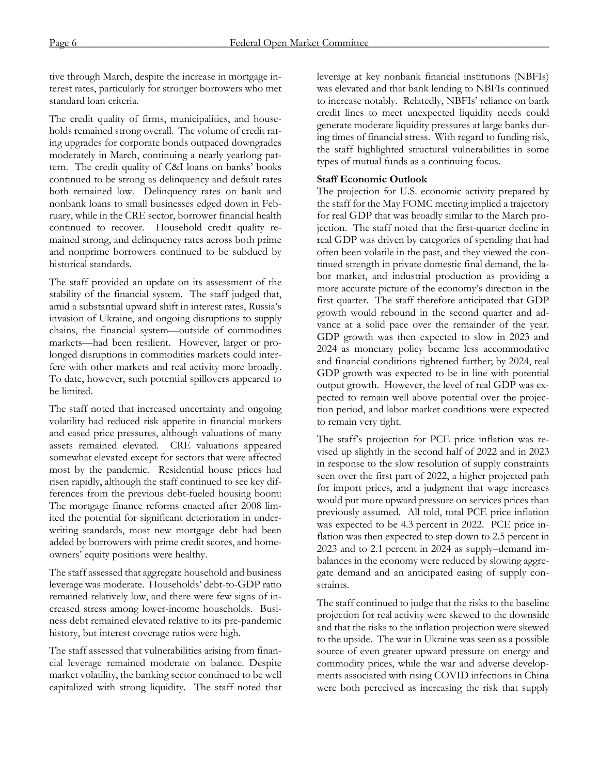tive through March, despite the increase in mortgage interest rates, particularly for stronger borrowers who met standard loan criteria.

The credit quality of firms, municipalities, and households remained strong overall. The volume of credit rating upgrades for corporate bonds outpaced downgrades moderately in March, continuing a nearly yearlong pattern. The credit quality of C&I loans on banks' books continued to be strong as delinquency and default rates both remained low. Delinquency rates on bank and nonbank loans to small businesses edged down in February, while in the CRE sector, borrower financial health continued to recover. Household credit quality remained strong, and delinquency rates across both prime and nonprime borrowers continued to be subdued by historical standards.

The staff provided an update on its assessment of the stability of the financial system. The staff judged that, amid a substantial upward shift in interest rates, Russia's invasion of Ukraine, and ongoing disruptions to supply chains, the financial system—outside of commodities markets—had been resilient. However, larger or prolonged disruptions in commodities markets could interfere with other markets and real activity more broadly. To date, however, such potential spillovers appeared to be limited.

The staff noted that increased uncertainty and ongoing volatility had reduced risk appetite in financial markets and eased price pressures, although valuations of many assets remained elevated. CRE valuations appeared somewhat elevated except for sectors that were affected most by the pandemic. Residential house prices had risen rapidly, although the staff continued to see key differences from the previous debt-fueled housing boom: The mortgage finance reforms enacted after 2008 limited the potential for significant deterioration in underwriting standards, most new mortgage debt had been added by borrowers with prime credit scores, and homeowners' equity positions were healthy.

The staff assessed that aggregate household and business leverage was moderate. Households' debt-to-GDP ratio remained relatively low, and there were few signs of increased stress among lower-income households. Business debt remained elevated relative to its pre-pandemic history, but interest coverage ratios were high.

The staff assessed that vulnerabilities arising from financial leverage remained moderate on balance. Despite market volatility, the banking sector continued to be well capitalized with strong liquidity. The staff noted that

leverage at key nonbank financial institutions (NBFIs) was elevated and that bank lending to NBFIs continued to increase notably. Relatedly, NBFIs' reliance on bank credit lines to meet unexpected liquidity needs could generate moderate liquidity pressures at large banks during times of financial stress. With regard to funding risk, the staff highlighted structural vulnerabilities in some types of mutual funds as a continuing focus.

## **Staff Economic Outlook**

The projection for U.S. economic activity prepared by the staff for the May FOMC meeting implied a trajectory for real GDP that was broadly similar to the March projection. The staff noted that the first-quarter decline in real GDP was driven by categories of spending that had often been volatile in the past, and they viewed the continued strength in private domestic final demand, the labor market, and industrial production as providing a more accurate picture of the economy's direction in the first quarter. The staff therefore anticipated that GDP growth would rebound in the second quarter and advance at a solid pace over the remainder of the year. GDP growth was then expected to slow in 2023 and 2024 as monetary policy became less accommodative and financial conditions tightened further; by 2024, real GDP growth was expected to be in line with potential output growth. However, the level of real GDP was expected to remain well above potential over the projection period, and labor market conditions were expected to remain very tight.

The staff's projection for PCE price inflation was revised up slightly in the second half of 2022 and in 2023 in response to the slow resolution of supply constraints seen over the first part of 2022, a higher projected path for import prices, and a judgment that wage increases would put more upward pressure on services prices than previously assumed. All told, total PCE price inflation was expected to be 4.3 percent in 2022. PCE price inflation was then expected to step down to 2.5 percent in 2023 and to 2.1 percent in 2024 as supply–demand imbalances in the economy were reduced by slowing aggregate demand and an anticipated easing of supply constraints.

The staff continued to judge that the risks to the baseline projection for real activity were skewed to the downside and that the risks to the inflation projection were skewed to the upside. The war in Ukraine was seen as a possible source of even greater upward pressure on energy and commodity prices, while the war and adverse developments associated with rising COVID infections in China were both perceived as increasing the risk that supply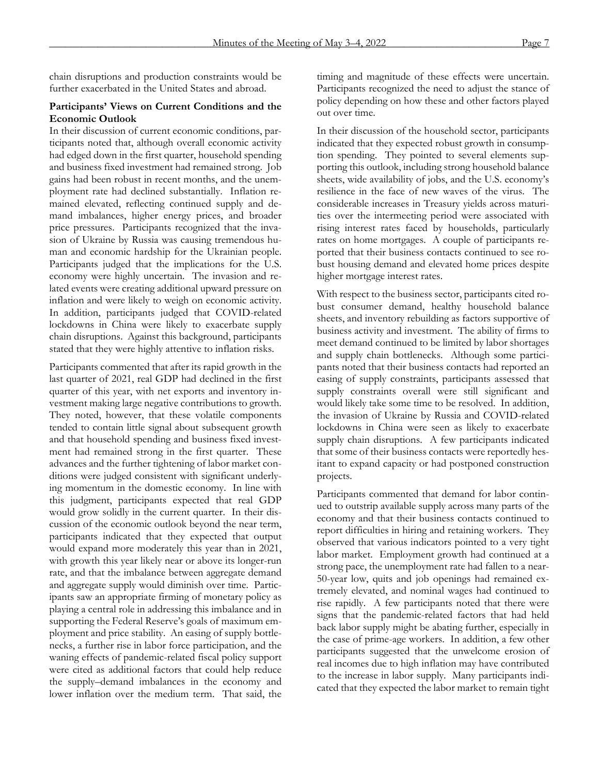chain disruptions and production constraints would be further exacerbated in the United States and abroad.

### **Participants' Views on Current Conditions and the Economic Outlook**

In their discussion of current economic conditions, participants noted that, although overall economic activity had edged down in the first quarter, household spending and business fixed investment had remained strong. Job gains had been robust in recent months, and the unemployment rate had declined substantially. Inflation remained elevated, reflecting continued supply and demand imbalances, higher energy prices, and broader price pressures. Participants recognized that the invasion of Ukraine by Russia was causing tremendous human and economic hardship for the Ukrainian people. Participants judged that the implications for the U.S. economy were highly uncertain. The invasion and related events were creating additional upward pressure on inflation and were likely to weigh on economic activity. In addition, participants judged that COVID-related lockdowns in China were likely to exacerbate supply chain disruptions. Against this background, participants stated that they were highly attentive to inflation risks.

Participants commented that after its rapid growth in the last quarter of 2021, real GDP had declined in the first quarter of this year, with net exports and inventory investment making large negative contributions to growth. They noted, however, that these volatile components tended to contain little signal about subsequent growth and that household spending and business fixed investment had remained strong in the first quarter. These advances and the further tightening of labor market conditions were judged consistent with significant underlying momentum in the domestic economy. In line with this judgment, participants expected that real GDP would grow solidly in the current quarter. In their discussion of the economic outlook beyond the near term, participants indicated that they expected that output would expand more moderately this year than in 2021, with growth this year likely near or above its longer-run rate, and that the imbalance between aggregate demand and aggregate supply would diminish over time. Participants saw an appropriate firming of monetary policy as playing a central role in addressing this imbalance and in supporting the Federal Reserve's goals of maximum employment and price stability. An easing of supply bottlenecks, a further rise in labor force participation, and the waning effects of pandemic-related fiscal policy support were cited as additional factors that could help reduce the supply–demand imbalances in the economy and lower inflation over the medium term. That said, the

timing and magnitude of these effects were uncertain. Participants recognized the need to adjust the stance of policy depending on how these and other factors played out over time.

In their discussion of the household sector, participants indicated that they expected robust growth in consumption spending. They pointed to several elements supporting this outlook, including strong household balance sheets, wide availability of jobs, and the U.S. economy's resilience in the face of new waves of the virus. The considerable increases in Treasury yields across maturities over the intermeeting period were associated with rising interest rates faced by households, particularly rates on home mortgages. A couple of participants reported that their business contacts continued to see robust housing demand and elevated home prices despite higher mortgage interest rates.

With respect to the business sector, participants cited robust consumer demand, healthy household balance sheets, and inventory rebuilding as factors supportive of business activity and investment. The ability of firms to meet demand continued to be limited by labor shortages and supply chain bottlenecks. Although some participants noted that their business contacts had reported an easing of supply constraints, participants assessed that supply constraints overall were still significant and would likely take some time to be resolved. In addition, the invasion of Ukraine by Russia and COVID-related lockdowns in China were seen as likely to exacerbate supply chain disruptions. A few participants indicated that some of their business contacts were reportedly hesitant to expand capacity or had postponed construction projects.

Participants commented that demand for labor continued to outstrip available supply across many parts of the economy and that their business contacts continued to report difficulties in hiring and retaining workers. They observed that various indicators pointed to a very tight labor market. Employment growth had continued at a strong pace, the unemployment rate had fallen to a near-50-year low, quits and job openings had remained extremely elevated, and nominal wages had continued to rise rapidly. A few participants noted that there were signs that the pandemic-related factors that had held back labor supply might be abating further, especially in the case of prime-age workers. In addition, a few other participants suggested that the unwelcome erosion of real incomes due to high inflation may have contributed to the increase in labor supply. Many participants indicated that they expected the labor market to remain tight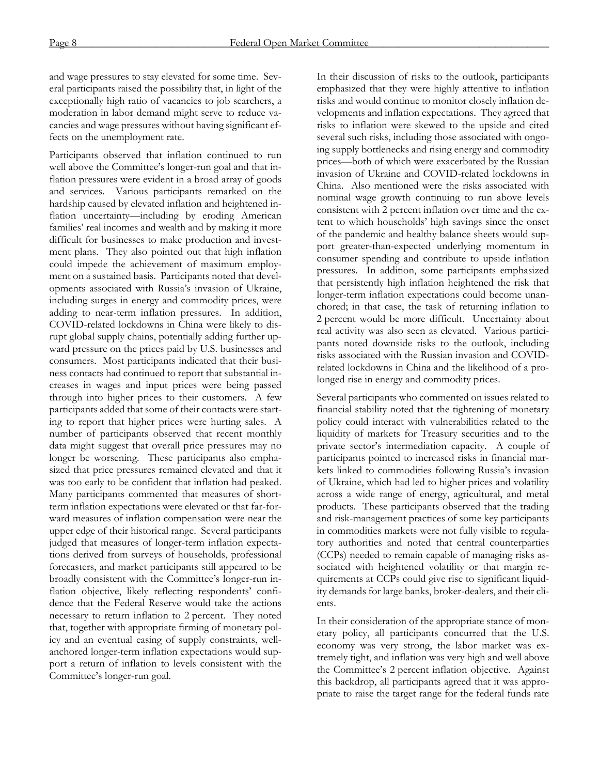and wage pressures to stay elevated for some time. Several participants raised the possibility that, in light of the exceptionally high ratio of vacancies to job searchers, a moderation in labor demand might serve to reduce vacancies and wage pressures without having significant effects on the unemployment rate.

Participants observed that inflation continued to run well above the Committee's longer-run goal and that inflation pressures were evident in a broad array of goods and services. Various participants remarked on the hardship caused by elevated inflation and heightened inflation uncertainty—including by eroding American families' real incomes and wealth and by making it more difficult for businesses to make production and investment plans. They also pointed out that high inflation could impede the achievement of maximum employment on a sustained basis. Participants noted that developments associated with Russia's invasion of Ukraine, including surges in energy and commodity prices, were adding to near-term inflation pressures. In addition, COVID-related lockdowns in China were likely to disrupt global supply chains, potentially adding further upward pressure on the prices paid by U.S. businesses and consumers. Most participants indicated that their business contacts had continued to report that substantial increases in wages and input prices were being passed through into higher prices to their customers. A few participants added that some of their contacts were starting to report that higher prices were hurting sales. A number of participants observed that recent monthly data might suggest that overall price pressures may no longer be worsening. These participants also emphasized that price pressures remained elevated and that it was too early to be confident that inflation had peaked. Many participants commented that measures of shortterm inflation expectations were elevated or that far-forward measures of inflation compensation were near the upper edge of their historical range. Several participants judged that measures of longer-term inflation expectations derived from surveys of households, professional forecasters, and market participants still appeared to be broadly consistent with the Committee's longer-run inflation objective, likely reflecting respondents' confidence that the Federal Reserve would take the actions necessary to return inflation to 2 percent. They noted that, together with appropriate firming of monetary policy and an eventual easing of supply constraints, wellanchored longer-term inflation expectations would support a return of inflation to levels consistent with the Committee's longer-run goal.

In their discussion of risks to the outlook, participants emphasized that they were highly attentive to inflation risks and would continue to monitor closely inflation developments and inflation expectations. They agreed that risks to inflation were skewed to the upside and cited several such risks, including those associated with ongoing supply bottlenecks and rising energy and commodity prices—both of which were exacerbated by the Russian invasion of Ukraine and COVID-related lockdowns in China. Also mentioned were the risks associated with nominal wage growth continuing to run above levels consistent with 2 percent inflation over time and the extent to which households' high savings since the onset of the pandemic and healthy balance sheets would support greater-than-expected underlying momentum in consumer spending and contribute to upside inflation pressures. In addition, some participants emphasized that persistently high inflation heightened the risk that longer-term inflation expectations could become unanchored; in that case, the task of returning inflation to 2 percent would be more difficult. Uncertainty about real activity was also seen as elevated. Various participants noted downside risks to the outlook, including risks associated with the Russian invasion and COVIDrelated lockdowns in China and the likelihood of a prolonged rise in energy and commodity prices.

Several participants who commented on issues related to financial stability noted that the tightening of monetary policy could interact with vulnerabilities related to the liquidity of markets for Treasury securities and to the private sector's intermediation capacity. A couple of participants pointed to increased risks in financial markets linked to commodities following Russia's invasion of Ukraine, which had led to higher prices and volatility across a wide range of energy, agricultural, and metal products. These participants observed that the trading and risk-management practices of some key participants in commodities markets were not fully visible to regulatory authorities and noted that central counterparties (CCPs) needed to remain capable of managing risks associated with heightened volatility or that margin requirements at CCPs could give rise to significant liquidity demands for large banks, broker-dealers, and their clients.

In their consideration of the appropriate stance of monetary policy, all participants concurred that the U.S. economy was very strong, the labor market was extremely tight, and inflation was very high and well above the Committee's 2 percent inflation objective. Against this backdrop, all participants agreed that it was appropriate to raise the target range for the federal funds rate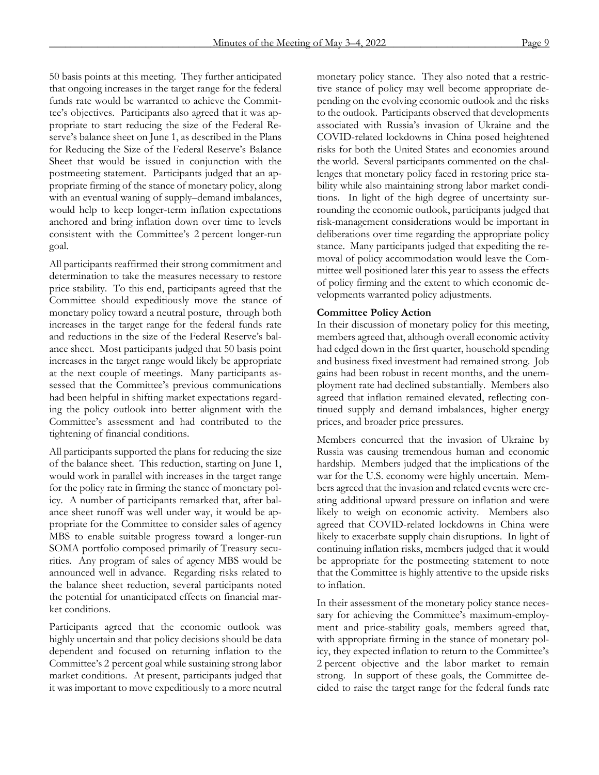50 basis points at this meeting. They further anticipated that ongoing increases in the target range for the federal funds rate would be warranted to achieve the Committee's objectives. Participants also agreed that it was appropriate to start reducing the size of the Federal Reserve's balance sheet on June 1, as described in the Plans for Reducing the Size of the Federal Reserve's Balance Sheet that would be issued in conjunction with the postmeeting statement. Participants judged that an appropriate firming of the stance of monetary policy, along with an eventual waning of supply–demand imbalances, would help to keep longer-term inflation expectations anchored and bring inflation down over time to levels consistent with the Committee's 2 percent longer-run goal.

All participants reaffirmed their strong commitment and determination to take the measures necessary to restore price stability. To this end, participants agreed that the Committee should expeditiously move the stance of monetary policy toward a neutral posture, through both increases in the target range for the federal funds rate and reductions in the size of the Federal Reserve's balance sheet. Most participants judged that 50 basis point increases in the target range would likely be appropriate at the next couple of meetings. Many participants assessed that the Committee's previous communications had been helpful in shifting market expectations regarding the policy outlook into better alignment with the Committee's assessment and had contributed to the tightening of financial conditions.

All participants supported the plans for reducing the size of the balance sheet. This reduction, starting on June 1, would work in parallel with increases in the target range for the policy rate in firming the stance of monetary policy. A number of participants remarked that, after balance sheet runoff was well under way, it would be appropriate for the Committee to consider sales of agency MBS to enable suitable progress toward a longer-run SOMA portfolio composed primarily of Treasury securities. Any program of sales of agency MBS would be announced well in advance. Regarding risks related to the balance sheet reduction, several participants noted the potential for unanticipated effects on financial market conditions.

Participants agreed that the economic outlook was highly uncertain and that policy decisions should be data dependent and focused on returning inflation to the Committee's 2 percent goal while sustaining strong labor market conditions. At present, participants judged that it was important to move expeditiously to a more neutral monetary policy stance. They also noted that a restrictive stance of policy may well become appropriate depending on the evolving economic outlook and the risks to the outlook. Participants observed that developments associated with Russia's invasion of Ukraine and the COVID-related lockdowns in China posed heightened risks for both the United States and economies around the world. Several participants commented on the challenges that monetary policy faced in restoring price stability while also maintaining strong labor market conditions. In light of the high degree of uncertainty surrounding the economic outlook, participants judged that risk-management considerations would be important in deliberations over time regarding the appropriate policy stance. Many participants judged that expediting the removal of policy accommodation would leave the Committee well positioned later this year to assess the effects of policy firming and the extent to which economic developments warranted policy adjustments.

### **Committee Policy Action**

In their discussion of monetary policy for this meeting, members agreed that, although overall economic activity had edged down in the first quarter, household spending and business fixed investment had remained strong. Job gains had been robust in recent months, and the unemployment rate had declined substantially. Members also agreed that inflation remained elevated, reflecting continued supply and demand imbalances, higher energy prices, and broader price pressures.

Members concurred that the invasion of Ukraine by Russia was causing tremendous human and economic hardship. Members judged that the implications of the war for the U.S. economy were highly uncertain. Members agreed that the invasion and related events were creating additional upward pressure on inflation and were likely to weigh on economic activity. Members also agreed that COVID-related lockdowns in China were likely to exacerbate supply chain disruptions. In light of continuing inflation risks, members judged that it would be appropriate for the postmeeting statement to note that the Committee is highly attentive to the upside risks to inflation.

In their assessment of the monetary policy stance necessary for achieving the Committee's maximum-employment and price-stability goals, members agreed that, with appropriate firming in the stance of monetary policy, they expected inflation to return to the Committee's 2 percent objective and the labor market to remain strong. In support of these goals, the Committee decided to raise the target range for the federal funds rate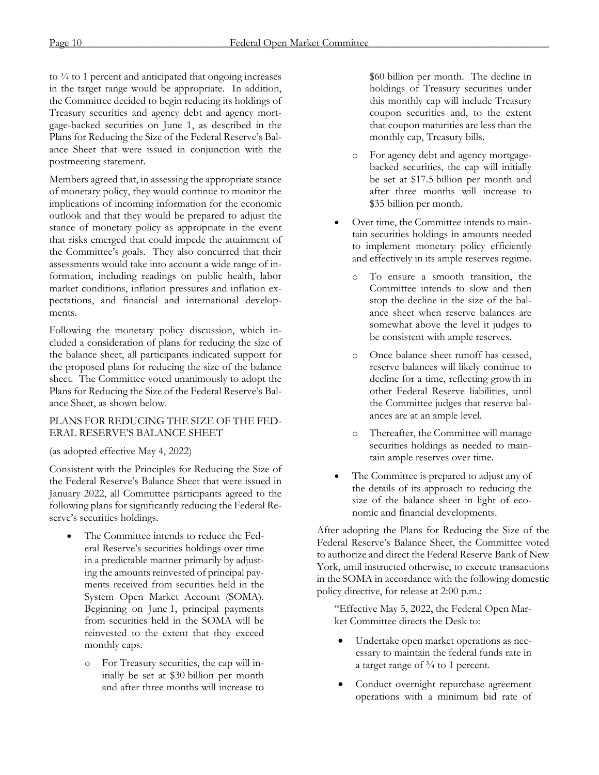to  $\frac{3}{4}$  to 1 percent and anticipated that ongoing increases in the target range would be appropriate. In addition, the Committee decided to begin reducing its holdings of Treasury securities and agency debt and agency mortgage-backed securities on June 1, as described in the Plans for Reducing the Size of the Federal Reserve's Balance Sheet that were issued in conjunction with the postmeeting statement.

Members agreed that, in assessing the appropriate stance of monetary policy, they would continue to monitor the implications of incoming information for the economic outlook and that they would be prepared to adjust the stance of monetary policy as appropriate in the event that risks emerged that could impede the attainment of the Committee's goals. They also concurred that their assessments would take into account a wide range of information, including readings on public health, labor market conditions, inflation pressures and inflation expectations, and financial and international developments.

Following the monetary policy discussion, which included a consideration of plans for reducing the size of the balance sheet, all participants indicated support for the proposed plans for reducing the size of the balance sheet. The Committee voted unanimously to adopt the Plans for Reducing the Size of the Federal Reserve's Balance Sheet, as shown below.

## PLANS FOR REDUCING THE SIZE OF THE FED-ERAL RESERVE'S BALANCE SHEET

(as adopted effective May 4, 2022)

Consistent with the Principles for Reducing the Size of the Federal Reserve's Balance Sheet that were issued in January 2022, all Committee participants agreed to the following plans for significantly reducing the Federal Reserve's securities holdings.

- The Committee intends to reduce the Federal Reserve's securities holdings over time in a predictable manner primarily by adjusting the amounts reinvested of principal payments received from securities held in the System Open Market Account (SOMA). Beginning on June 1, principal payments from securities held in the SOMA will be reinvested to the extent that they exceed monthly caps.
	- For Treasury securities, the cap will initially be set at \$30 billion per month and after three months will increase to

\$60 billion per month. The decline in holdings of Treasury securities under this monthly cap will include Treasury coupon securities and, to the extent that coupon maturities are less than the monthly cap, Treasury bills.

- o For agency debt and agency mortgagebacked securities, the cap will initially be set at \$17.5 billion per month and after three months will increase to \$35 billion per month.
- Over time, the Committee intends to maintain securities holdings in amounts needed to implement monetary policy efficiently and effectively in its ample reserves regime.
	- o To ensure a smooth transition, the Committee intends to slow and then stop the decline in the size of the balance sheet when reserve balances are somewhat above the level it judges to be consistent with ample reserves.
	- o Once balance sheet runoff has ceased, reserve balances will likely continue to decline for a time, reflecting growth in other Federal Reserve liabilities, until the Committee judges that reserve balances are at an ample level.
	- o Thereafter, the Committee will manage securities holdings as needed to maintain ample reserves over time.
- The Committee is prepared to adjust any of the details of its approach to reducing the size of the balance sheet in light of economic and financial developments.

After adopting the Plans for Reducing the Size of the Federal Reserve's Balance Sheet, the Committee voted to authorize and direct the Federal Reserve Bank of New York, until instructed otherwise, to execute transactions in the SOMA in accordance with the following domestic policy directive, for release at 2:00 p.m.:

"Effective May 5, 2022, the Federal Open Market Committee directs the Desk to:

- Undertake open market operations as necessary to maintain the federal funds rate in a target range of  $\frac{3}{4}$  to 1 percent.
- Conduct overnight repurchase agreement operations with a minimum bid rate of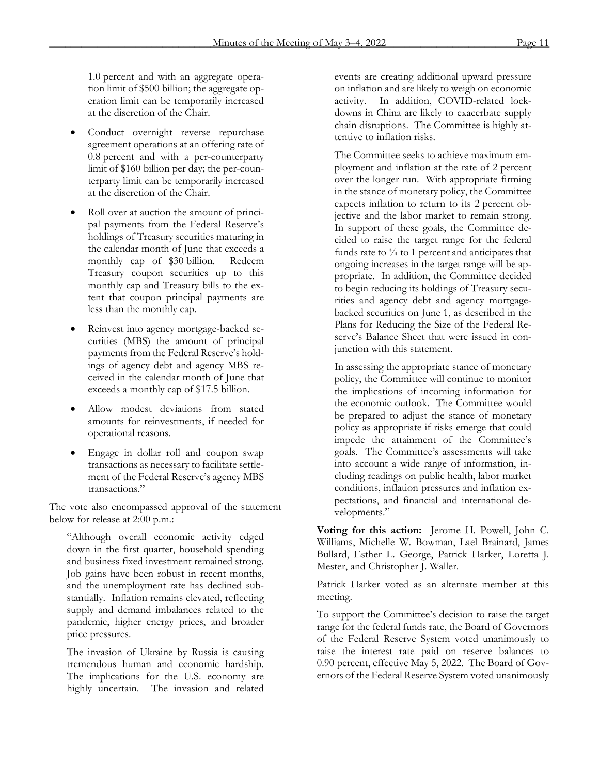1.0 percent and with an aggregate operation limit of \$500 billion; the aggregate operation limit can be temporarily increased at the discretion of the Chair.

- Conduct overnight reverse repurchase agreement operations at an offering rate of 0.8 percent and with a per-counterparty limit of \$160 billion per day; the per-counterparty limit can be temporarily increased at the discretion of the Chair.
- Roll over at auction the amount of principal payments from the Federal Reserve's holdings of Treasury securities maturing in the calendar month of June that exceeds a monthly cap of \$30 billion. Redeem Treasury coupon securities up to this monthly cap and Treasury bills to the extent that coupon principal payments are less than the monthly cap.
- Reinvest into agency mortgage-backed securities (MBS) the amount of principal payments from the Federal Reserve's holdings of agency debt and agency MBS received in the calendar month of June that exceeds a monthly cap of \$17.5 billion.
- Allow modest deviations from stated amounts for reinvestments, if needed for operational reasons.
- Engage in dollar roll and coupon swap transactions as necessary to facilitate settlement of the Federal Reserve's agency MBS transactions."

The vote also encompassed approval of the statement below for release at 2:00 p.m.:

"Although overall economic activity edged down in the first quarter, household spending and business fixed investment remained strong. Job gains have been robust in recent months, and the unemployment rate has declined substantially. Inflation remains elevated, reflecting supply and demand imbalances related to the pandemic, higher energy prices, and broader price pressures.

The invasion of Ukraine by Russia is causing tremendous human and economic hardship. The implications for the U.S. economy are highly uncertain. The invasion and related

events are creating additional upward pressure on inflation and are likely to weigh on economic activity. In addition, COVID-related lockdowns in China are likely to exacerbate supply chain disruptions. The Committee is highly attentive to inflation risks.

The Committee seeks to achieve maximum employment and inflation at the rate of 2 percent over the longer run. With appropriate firming in the stance of monetary policy, the Committee expects inflation to return to its 2 percent objective and the labor market to remain strong. In support of these goals, the Committee decided to raise the target range for the federal funds rate to  $\frac{3}{4}$  to 1 percent and anticipates that ongoing increases in the target range will be appropriate. In addition, the Committee decided to begin reducing its holdings of Treasury securities and agency debt and agency mortgagebacked securities on June 1, as described in the Plans for Reducing the Size of the Federal Reserve's Balance Sheet that were issued in conjunction with this statement.

In assessing the appropriate stance of monetary policy, the Committee will continue to monitor the implications of incoming information for the economic outlook. The Committee would be prepared to adjust the stance of monetary policy as appropriate if risks emerge that could impede the attainment of the Committee's goals. The Committee's assessments will take into account a wide range of information, including readings on public health, labor market conditions, inflation pressures and inflation expectations, and financial and international developments."

**Voting for this action:** Jerome H. Powell, John C. Williams, Michelle W. Bowman, Lael Brainard, James Bullard, Esther L. George, Patrick Harker, Loretta J. Mester, and Christopher J. Waller.

Patrick Harker voted as an alternate member at this meeting.

To support the Committee's decision to raise the target range for the federal funds rate, the Board of Governors of the Federal Reserve System voted unanimously to raise the interest rate paid on reserve balances to 0.90 percent, effective May 5, 2022. The Board of Governors of the Federal Reserve System voted unanimously